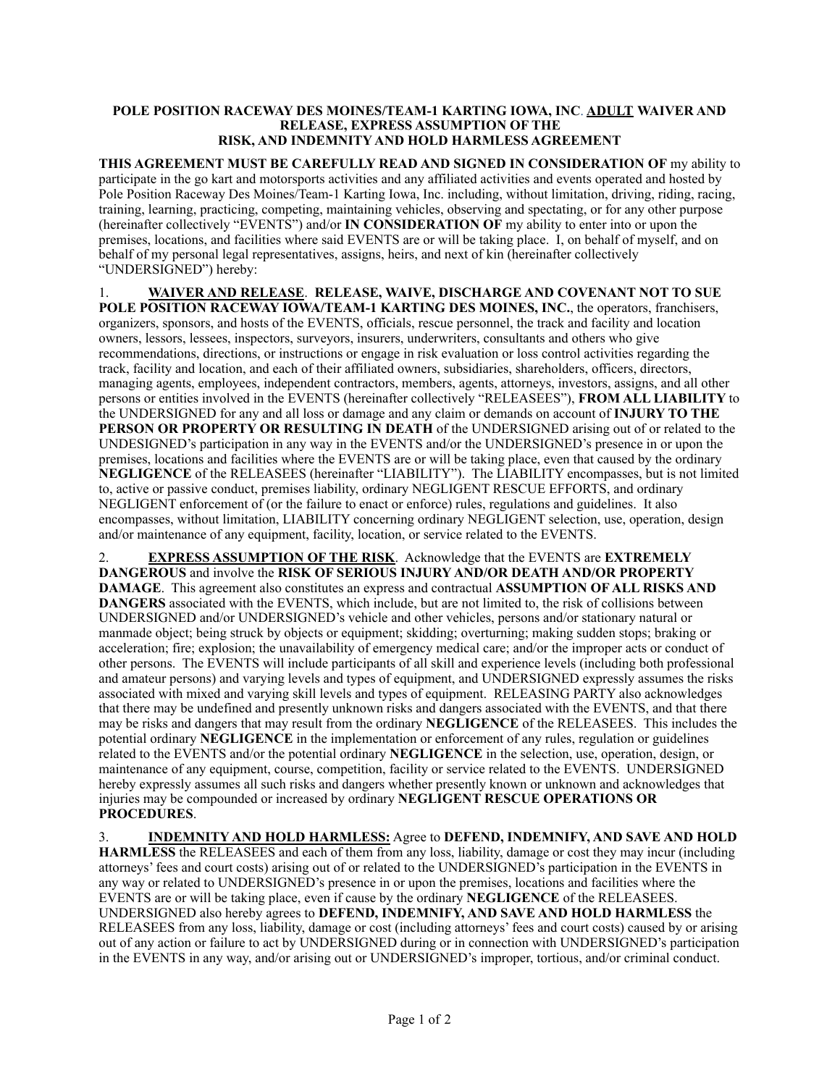## **POLE POSITION RACEWAY DES MOINES/TEAM-1 KARTING IOWA, INC**. **ADULT WAIVER AND RELEASE, EXPRESS ASSUMPTION OF THE RISK, AND INDEMNITY AND HOLD HARMLESS AGREEMENT**

**THIS AGREEMENT MUST BE CAREFULLY READ AND SIGNED IN CONSIDERATION OF** my ability to participate in the go kart and motorsports activities and any affiliated activities and events operated and hosted by Pole Position Raceway Des Moines/Team-1 Karting Iowa, Inc. including, without limitation, driving, riding, racing, training, learning, practicing, competing, maintaining vehicles, observing and spectating, or for any other purpose (hereinafter collectively "EVENTS") and/or **IN CONSIDERATION OF** my ability to enter into or upon the premises, locations, and facilities where said EVENTS are or will be taking place. I, on behalf of myself, and on behalf of my personal legal representatives, assigns, heirs, and next of kin (hereinafter collectively "UNDERSIGNED") hereby:

1. **WAIVER AND RELEASE**. **RELEASE, WAIVE, DISCHARGE AND COVENANT NOT TO SUE POLE POSITION RACEWAY IOWA/TEAM-1 KARTING DES MOINES, INC.**, the operators, franchisers, organizers, sponsors, and hosts of the EVENTS, officials, rescue personnel, the track and facility and location owners, lessors, lessees, inspectors, surveyors, insurers, underwriters, consultants and others who give recommendations, directions, or instructions or engage in risk evaluation or loss control activities regarding the track, facility and location, and each of their affiliated owners, subsidiaries, shareholders, officers, directors, managing agents, employees, independent contractors, members, agents, attorneys, investors, assigns, and all other persons or entities involved in the EVENTS (hereinafter collectively "RELEASEES"), **FROM ALL LIABILITY** to the UNDERSIGNED for any and all loss or damage and any claim or demands on account of **INJURY TO THE PERSON OR PROPERTY OR RESULTING IN DEATH** of the UNDERSIGNED arising out of or related to the UNDESIGNED's participation in any way in the EVENTS and/or the UNDERSIGNED's presence in or upon the premises, locations and facilities where the EVENTS are or will be taking place, even that caused by the ordinary **NEGLIGENCE** of the RELEASEES (hereinafter "LIABILITY"). The LIABILITY encompasses, but is not limited to, active or passive conduct, premises liability, ordinary NEGLIGENT RESCUE EFFORTS, and ordinary NEGLIGENT enforcement of (or the failure to enact or enforce) rules, regulations and guidelines. It also encompasses, without limitation, LIABILITY concerning ordinary NEGLIGENT selection, use, operation, design and/or maintenance of any equipment, facility, location, or service related to the EVENTS.

2. **EXPRESS ASSUMPTION OF THE RISK**. Acknowledge that the EVENTS are **EXTREMELY DANGEROUS** and involve the **RISK OF SERIOUS INJURY AND/OR DEATH AND/OR PROPERTY DAMAGE**. This agreement also constitutes an express and contractual **ASSUMPTION OF ALL RISKS AND DANGERS** associated with the EVENTS, which include, but are not limited to, the risk of collisions between UNDERSIGNED and/or UNDERSIGNED's vehicle and other vehicles, persons and/or stationary natural or manmade object; being struck by objects or equipment; skidding; overturning; making sudden stops; braking or acceleration; fire; explosion; the unavailability of emergency medical care; and/or the improper acts or conduct of other persons. The EVENTS will include participants of all skill and experience levels (including both professional and amateur persons) and varying levels and types of equipment, and UNDERSIGNED expressly assumes the risks associated with mixed and varying skill levels and types of equipment. RELEASING PARTY also acknowledges that there may be undefined and presently unknown risks and dangers associated with the EVENTS, and that there may be risks and dangers that may result from the ordinary **NEGLIGENCE** of the RELEASEES. This includes the potential ordinary **NEGLIGENCE** in the implementation or enforcement of any rules, regulation or guidelines related to the EVENTS and/or the potential ordinary **NEGLIGENCE** in the selection, use, operation, design, or maintenance of any equipment, course, competition, facility or service related to the EVENTS. UNDERSIGNED hereby expressly assumes all such risks and dangers whether presently known or unknown and acknowledges that injuries may be compounded or increased by ordinary **NEGLIGENT RESCUE OPERATIONS OR PROCEDURES**.

3. **INDEMNITY AND HOLD HARMLESS:** Agree to **DEFEND, INDEMNIFY, AND SAVE AND HOLD HARMLESS** the RELEASEES and each of them from any loss, liability, damage or cost they may incur (including attorneys' fees and court costs) arising out of or related to the UNDERSIGNED's participation in the EVENTS in any way or related to UNDERSIGNED's presence in or upon the premises, locations and facilities where the EVENTS are or will be taking place, even if cause by the ordinary **NEGLIGENCE** of the RELEASEES. UNDERSIGNED also hereby agrees to **DEFEND, INDEMNIFY, AND SAVE AND HOLD HARMLESS** the RELEASEES from any loss, liability, damage or cost (including attorneys' fees and court costs) caused by or arising out of any action or failure to act by UNDERSIGNED during or in connection with UNDERSIGNED's participation in the EVENTS in any way, and/or arising out or UNDERSIGNED's improper, tortious, and/or criminal conduct.